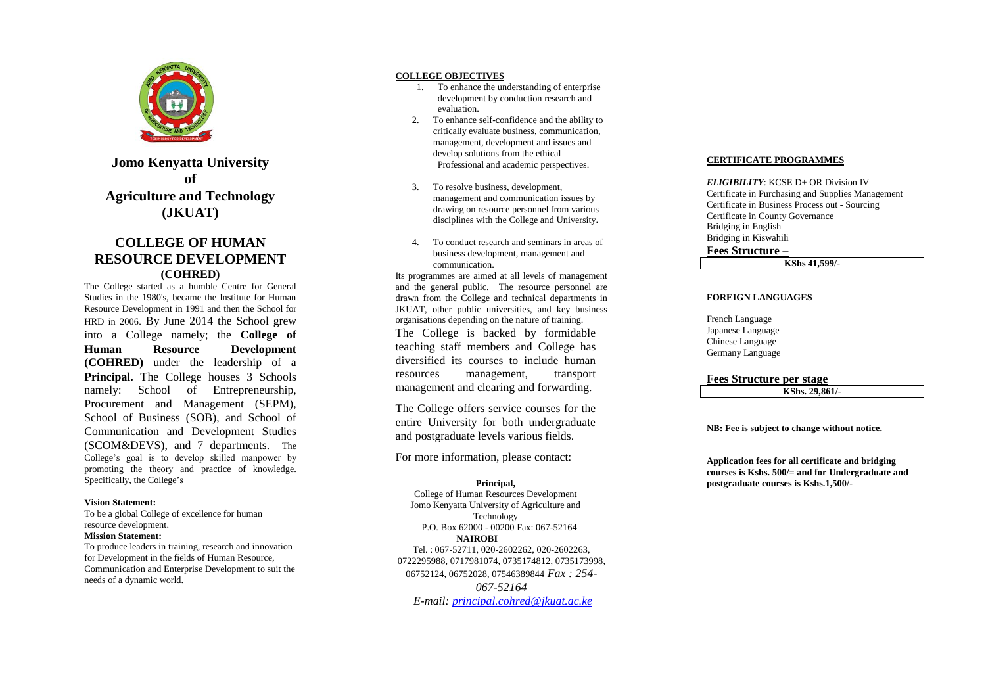

**Jomo Kenyatta University of Agriculture and Technology (JKUAT)**

# **COLLEGE OF HUMAN RESOURCE DEVELOPMENT (COHR ED)**

The College started as a humble Centre for General Studies in the 1980's, became the Institute for Human Resource Development in 1991 and then the School for HRD in 2006 . By June 2014 the School grew into a College namely; the **College of Human Resource Development (COHRED)** under the leadership of a **Principal.** The College houses 3 Schools namely: School of Entrepreneurship, Procurement and Management (SEPM), School of Business (SOB), and School of Communication and Development Studies (SCOM&DEVS), and 7 departments. The College's goal is to develop skilled manpower by promoting the theory and practice of knowledge. Specifically, the College's

#### **Vision Statement:**

To be a global College of excellence for human resource development.

#### **Mission Statement:**

To produce leaders in training, research and innovation for Development in the fields of Human Resource, Communication and Enterprise Development to suit the needs of a dynamic world.

## **COLLEGE OBJECTIVES**

- 1. To enhance the understanding of enterprise development by conduction research and evaluation.
- 2. To enhance self-confidence and the ability to critically evaluate business, communication, management, development and issues and develop solutions from the ethical Professional and academic perspectives.
- 3. To resolve business, development, management and communication issues by drawing on resource personnel from various disciplines with the College and University.
- 4. To conduct research and seminars in areas of business development, management and communication.

Its programmes are aimed at all levels of management and the general public. The resource personnel are drawn from the College and technical departments in JKUAT, other public universities, and key business organisations depending on the nature of training. The College is backed by formidable teaching staff members and College has diversified its courses to include human resources management, transport management and clearing and forwarding.

The College offers service courses for the entire University for both undergraduate and postgraduate levels various fields.

For more information, please contact:

## **Principal,**

College of Human Resources Development Jomo Kenyatta University of Agriculture and Technology P.O. Box 62000 - 00200 Fax: 067 -52164 **NAIROBI** Tel. : 067 -52711, 020 -2602262, 020 -2602263, 0722295988, 0717981074, 0735174812, 0735173998,

06752124, 06752028, 07546389844 *Fax : 254 -*

*067 -52164*

*E -mail: [principal.cohred@jkuat.ac.ke](mailto:principal.cohred@jkuat.ac.ke)*

#### **CERTIFICATE PROGRAMMES**

*ELIGIBILITY*: KCSE D+ OR Division IV Certificate in Purchasing and Supplies Management Certificate in Business Process out - Sourcing Certificate in County Governance Bridging in English Bridging in Kiswahili

**Fees Structure –**

**KShs 41,599/ -**

# **FOREIGN LANGUAGES**

French Language Japanese Language Chinese Language Germany Language

#### **Fees Structure per stage**

**KShs. 29,861 / -**

**NB: Fee is subject to change without notice.**

**Application fees for all certificate and bridging courses is Kshs. 500/= and for Undergraduate and postgraduate courses is Kshs.1,500/ -**